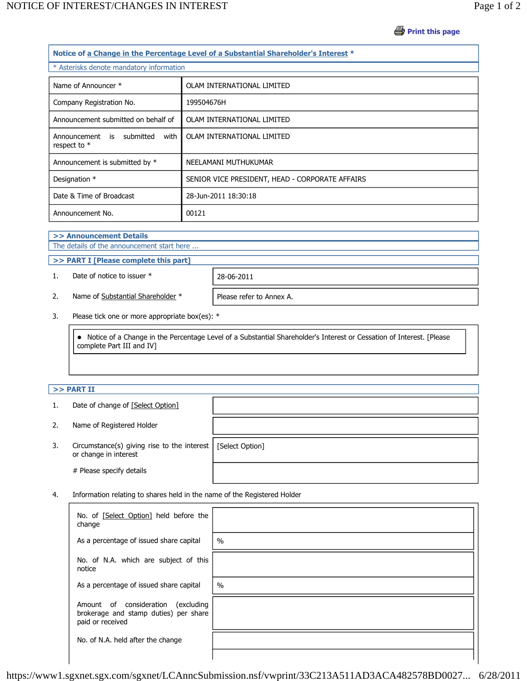**Print this page** 

| Notice of a Change in the Percentage Level of a Substantial Shareholder's Interest * |                                                           |                                                 |  |
|--------------------------------------------------------------------------------------|-----------------------------------------------------------|-------------------------------------------------|--|
|                                                                                      | * Asterisks denote mandatory information                  |                                                 |  |
|                                                                                      | Name of Announcer *                                       | OLAM INTERNATIONAL LIMITED                      |  |
|                                                                                      | Company Registration No.                                  | 199504676H                                      |  |
|                                                                                      | Announcement submitted on behalf of                       | OLAM INTERNATIONAL LIMITED                      |  |
|                                                                                      | submitted<br>with<br>Announcement<br>is<br>respect to $*$ | OLAM INTERNATIONAL LIMITED                      |  |
|                                                                                      | Announcement is submitted by *                            | NEELAMANI MUTHUKUMAR                            |  |
|                                                                                      | Designation *                                             | SENIOR VICE PRESIDENT, HEAD - CORPORATE AFFAIRS |  |
|                                                                                      | Date & Time of Broadcast                                  | 28-Jun-2011 18:30:18                            |  |
|                                                                                      | Announcement No.                                          | 00121                                           |  |

**>> Announcement Details**

The details of the announcement start here ...

**>> PART I [Please complete this part]**

1. Date of notice to issuer \* 28-06-2011

2. Name of Substantial Shareholder  $*$  | Please refer to Annex A.

3. Please tick one or more appropriate box(es): \*

 Notice of a Change in the Percentage Level of a Substantial Shareholder's Interest or Cessation of Interest. [Please complete Part III and IV]

## **>> PART II**

- 1. Date of change of [Select Option]
- 2. Name of Registered Holder
- 3. Circumstance(s) giving rise to the interest or change in interest

# Please specify details

[Select Option]

4. Information relating to shares held in the name of the Registered Holder

| No. of [Select Option] held before the<br>change                                                   |               |
|----------------------------------------------------------------------------------------------------|---------------|
| As a percentage of issued share capital                                                            | $\frac{0}{0}$ |
| No. of N.A. which are subject of this<br>notice                                                    |               |
| As a percentage of issued share capital                                                            | $\frac{0}{0}$ |
| Amount of consideration<br>(excluding<br>brokerage and stamp duties) per share<br>paid or received |               |
| No. of N.A. held after the change                                                                  |               |
|                                                                                                    |               |